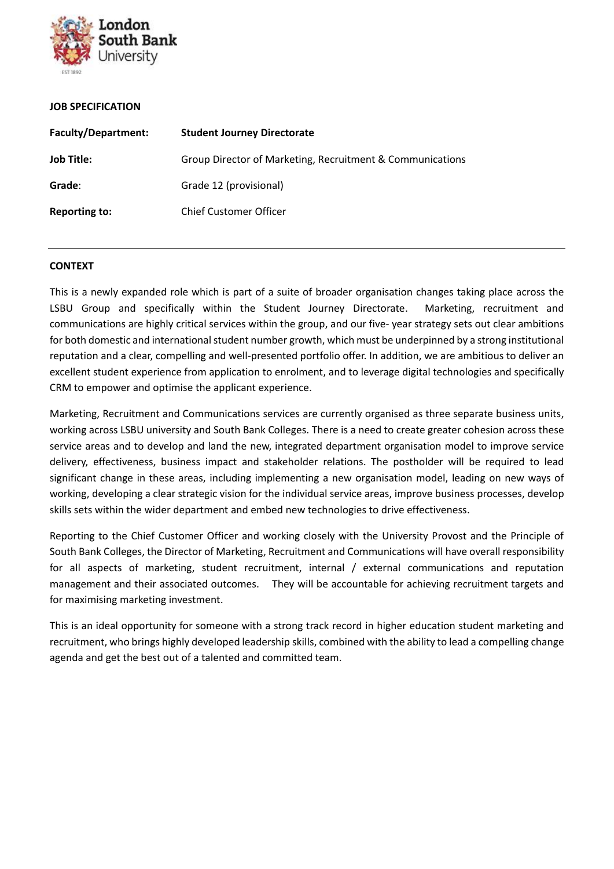

#### **JOB SPECIFICATION**

| <b>Faculty/Department:</b> | <b>Student Journey Directorate</b>                        |
|----------------------------|-----------------------------------------------------------|
| <b>Job Title:</b>          | Group Director of Marketing, Recruitment & Communications |
| Grade:                     | Grade 12 (provisional)                                    |
| <b>Reporting to:</b>       | <b>Chief Customer Officer</b>                             |

#### **CONTEXT**

This is a newly expanded role which is part of a suite of broader organisation changes taking place across the LSBU Group and specifically within the Student Journey Directorate. Marketing, recruitment and communications are highly critical services within the group, and our five- year strategy sets out clear ambitions for both domestic and international student number growth, which must be underpinned by a strong institutional reputation and a clear, compelling and well-presented portfolio offer. In addition, we are ambitious to deliver an excellent student experience from application to enrolment, and to leverage digital technologies and specifically CRM to empower and optimise the applicant experience.

Marketing, Recruitment and Communications services are currently organised as three separate business units, working across LSBU university and South Bank Colleges. There is a need to create greater cohesion across these service areas and to develop and land the new, integrated department organisation model to improve service delivery, effectiveness, business impact and stakeholder relations. The postholder will be required to lead significant change in these areas, including implementing a new organisation model, leading on new ways of working, developing a clear strategic vision for the individual service areas, improve business processes, develop skills sets within the wider department and embed new technologies to drive effectiveness.

Reporting to the Chief Customer Officer and working closely with the University Provost and the Principle of South Bank Colleges, the Director of Marketing, Recruitment and Communications will have overall responsibility for all aspects of marketing, student recruitment, internal / external communications and reputation management and their associated outcomes. They will be accountable for achieving recruitment targets and for maximising marketing investment.

This is an ideal opportunity for someone with a strong track record in higher education student marketing and recruitment, who brings highly developed leadership skills, combined with the ability to lead a compelling change agenda and get the best out of a talented and committed team.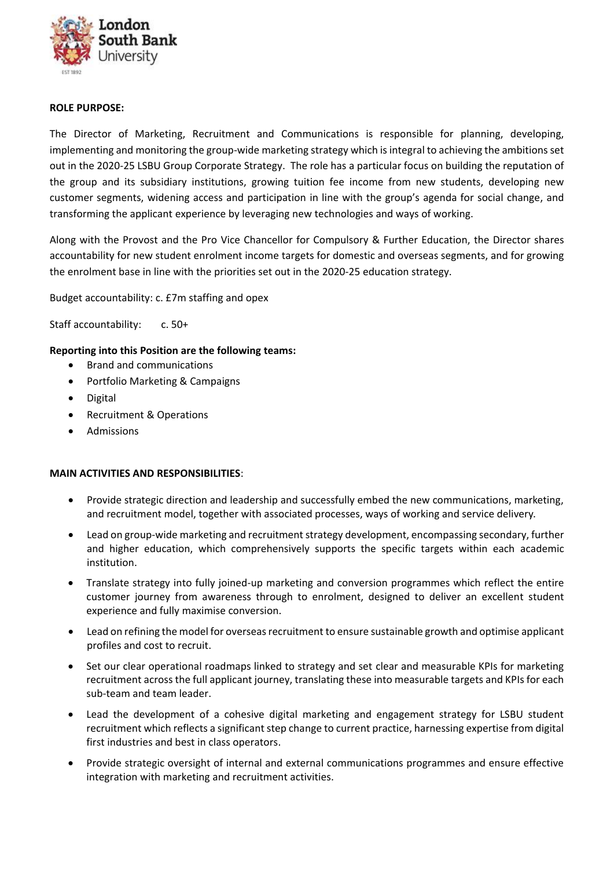

# **ROLE PURPOSE:**

The Director of Marketing, Recruitment and Communications is responsible for planning, developing, implementing and monitoring the group-wide marketing strategy which is integral to achieving the ambitions set out in the 2020-25 LSBU Group Corporate Strategy. The role has a particular focus on building the reputation of the group and its subsidiary institutions, growing tuition fee income from new students, developing new customer segments, widening access and participation in line with the group's agenda for social change, and transforming the applicant experience by leveraging new technologies and ways of working.

Along with the Provost and the Pro Vice Chancellor for Compulsory & Further Education, the Director shares accountability for new student enrolment income targets for domestic and overseas segments, and for growing the enrolment base in line with the priorities set out in the 2020-25 education strategy.

Budget accountability: c. £7m staffing and opex

Staff accountability: c. 50+

## **Reporting into this Position are the following teams:**

- Brand and communications
- Portfolio Marketing & Campaigns
- **Digital**
- Recruitment & Operations
- Admissions

## **MAIN ACTIVITIES AND RESPONSIBILITIES**:

- Provide strategic direction and leadership and successfully embed the new communications, marketing, and recruitment model, together with associated processes, ways of working and service delivery.
- Lead on group-wide marketing and recruitment strategy development, encompassing secondary, further and higher education, which comprehensively supports the specific targets within each academic institution.
- Translate strategy into fully joined-up marketing and conversion programmes which reflect the entire customer journey from awareness through to enrolment, designed to deliver an excellent student experience and fully maximise conversion.
- Lead on refining the model for overseas recruitment to ensure sustainable growth and optimise applicant profiles and cost to recruit.
- Set our clear operational roadmaps linked to strategy and set clear and measurable KPIs for marketing recruitment across the full applicant journey, translating these into measurable targets and KPIs for each sub-team and team leader.
- Lead the development of a cohesive digital marketing and engagement strategy for LSBU student recruitment which reflects a significant step change to current practice, harnessing expertise from digital first industries and best in class operators.
- Provide strategic oversight of internal and external communications programmes and ensure effective integration with marketing and recruitment activities.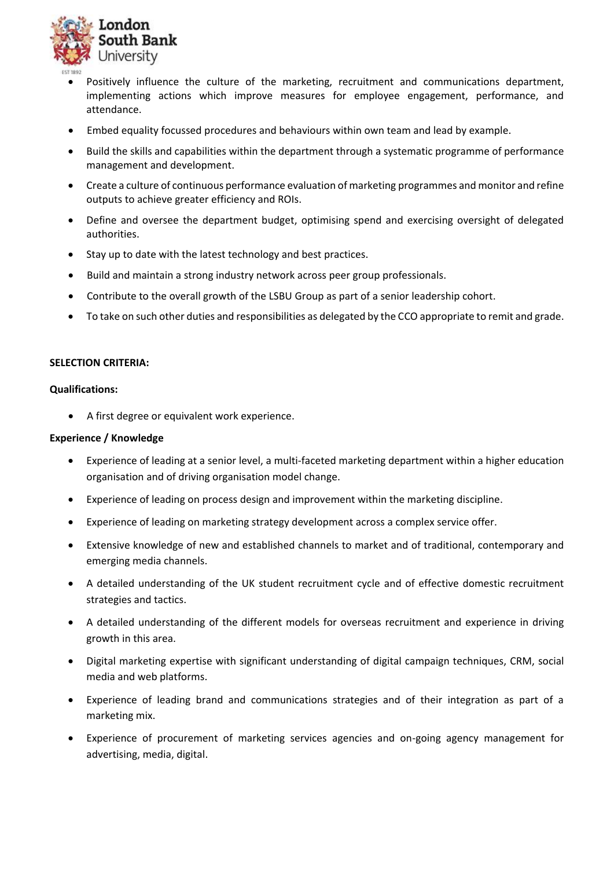

- Positively influence the culture of the marketing, recruitment and communications department, implementing actions which improve measures for employee engagement, performance, and attendance.
- Embed equality focussed procedures and behaviours within own team and lead by example.
- Build the skills and capabilities within the department through a systematic programme of performance management and development.
- Create a culture of continuous performance evaluation of marketing programmes and monitor and refine outputs to achieve greater efficiency and ROIs.
- Define and oversee the department budget, optimising spend and exercising oversight of delegated authorities.
- Stay up to date with the latest technology and best practices.
- Build and maintain a strong industry network across peer group professionals.
- Contribute to the overall growth of the LSBU Group as part of a senior leadership cohort.
- To take on such other duties and responsibilities as delegated by the CCO appropriate to remit and grade.

## **SELECTION CRITERIA:**

#### **Qualifications:**

• A first degree or equivalent work experience.

## **Experience / Knowledge**

- Experience of leading at a senior level, a multi-faceted marketing department within a higher education organisation and of driving organisation model change.
- Experience of leading on process design and improvement within the marketing discipline.
- Experience of leading on marketing strategy development across a complex service offer.
- Extensive knowledge of new and established channels to market and of traditional, contemporary and emerging media channels.
- A detailed understanding of the UK student recruitment cycle and of effective domestic recruitment strategies and tactics.
- A detailed understanding of the different models for overseas recruitment and experience in driving growth in this area.
- Digital marketing expertise with significant understanding of digital campaign techniques, CRM, social media and web platforms.
- Experience of leading brand and communications strategies and of their integration as part of a marketing mix.
- Experience of procurement of marketing services agencies and on-going agency management for advertising, media, digital.